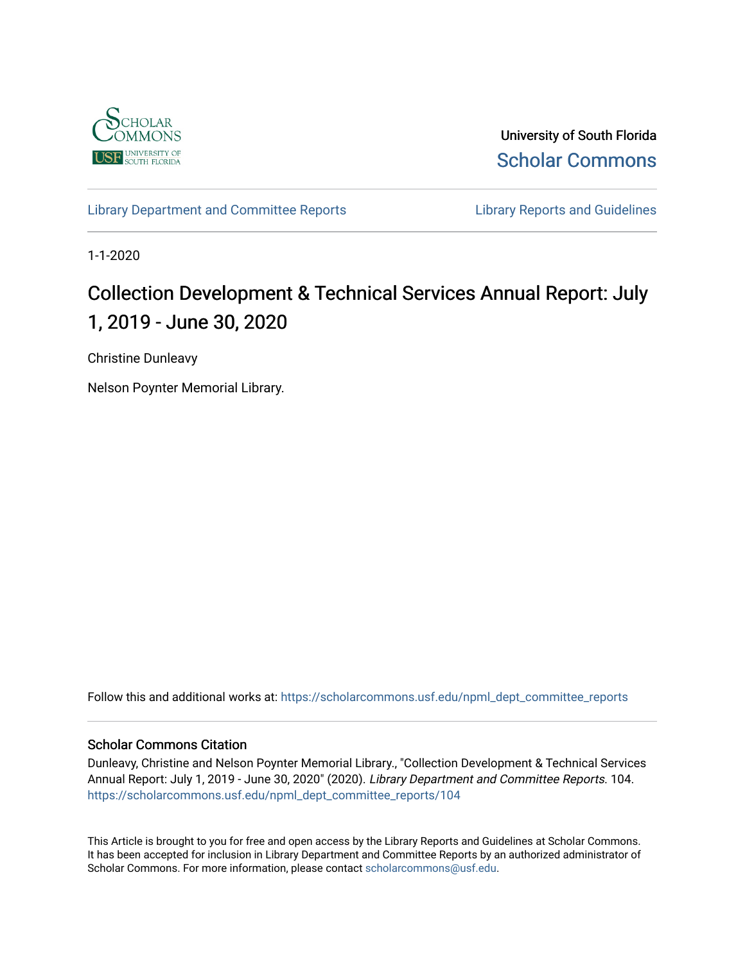

University of South Florida [Scholar Commons](https://scholarcommons.usf.edu/) 

[Library Department and Committee Reports](https://scholarcommons.usf.edu/npml_dept_committee_reports) **Library Reports and Guidelines** 

1-1-2020

# Collection Development & Technical Services Annual Report: July 1, 2019 - June 30, 2020

Christine Dunleavy

Nelson Poynter Memorial Library.

Follow this and additional works at: [https://scholarcommons.usf.edu/npml\\_dept\\_committee\\_reports](https://scholarcommons.usf.edu/npml_dept_committee_reports?utm_source=scholarcommons.usf.edu%2Fnpml_dept_committee_reports%2F104&utm_medium=PDF&utm_campaign=PDFCoverPages)

## Scholar Commons Citation

Dunleavy, Christine and Nelson Poynter Memorial Library., "Collection Development & Technical Services Annual Report: July 1, 2019 - June 30, 2020" (2020). Library Department and Committee Reports. 104. [https://scholarcommons.usf.edu/npml\\_dept\\_committee\\_reports/104](https://scholarcommons.usf.edu/npml_dept_committee_reports/104?utm_source=scholarcommons.usf.edu%2Fnpml_dept_committee_reports%2F104&utm_medium=PDF&utm_campaign=PDFCoverPages) 

This Article is brought to you for free and open access by the Library Reports and Guidelines at Scholar Commons. It has been accepted for inclusion in Library Department and Committee Reports by an authorized administrator of Scholar Commons. For more information, please contact [scholarcommons@usf.edu](mailto:scholarcommons@usf.edu).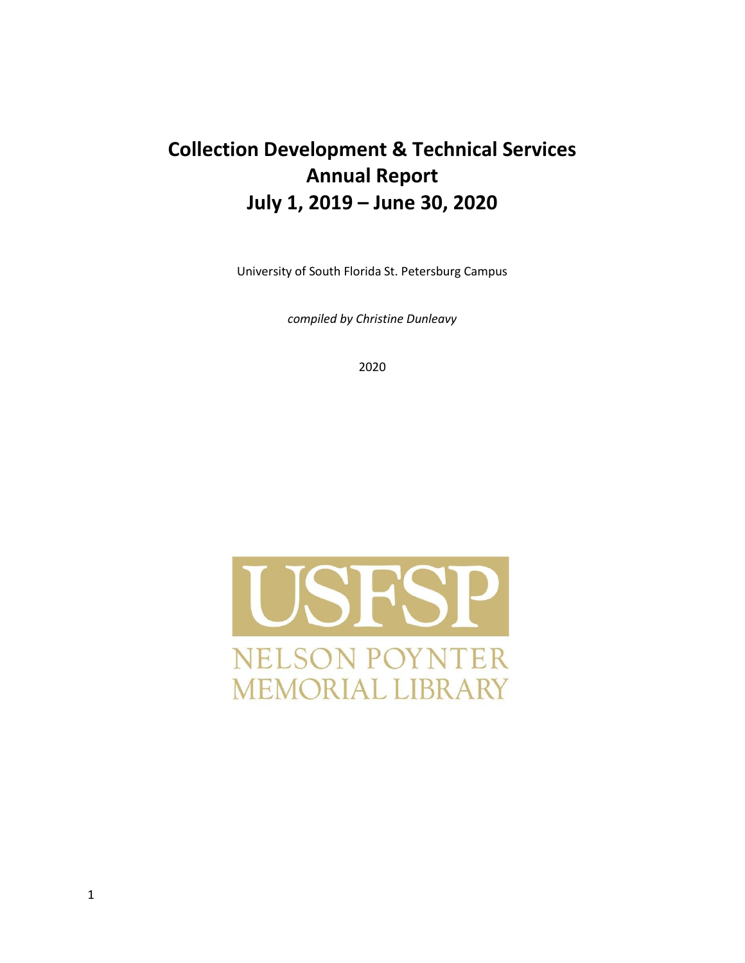# **Collection Development & Technical Services Annual Report July 1, 2019 – June 30, 2020**

University of South Florida St. Petersburg Campus

*compiled by Christine Dunleavy*

2020

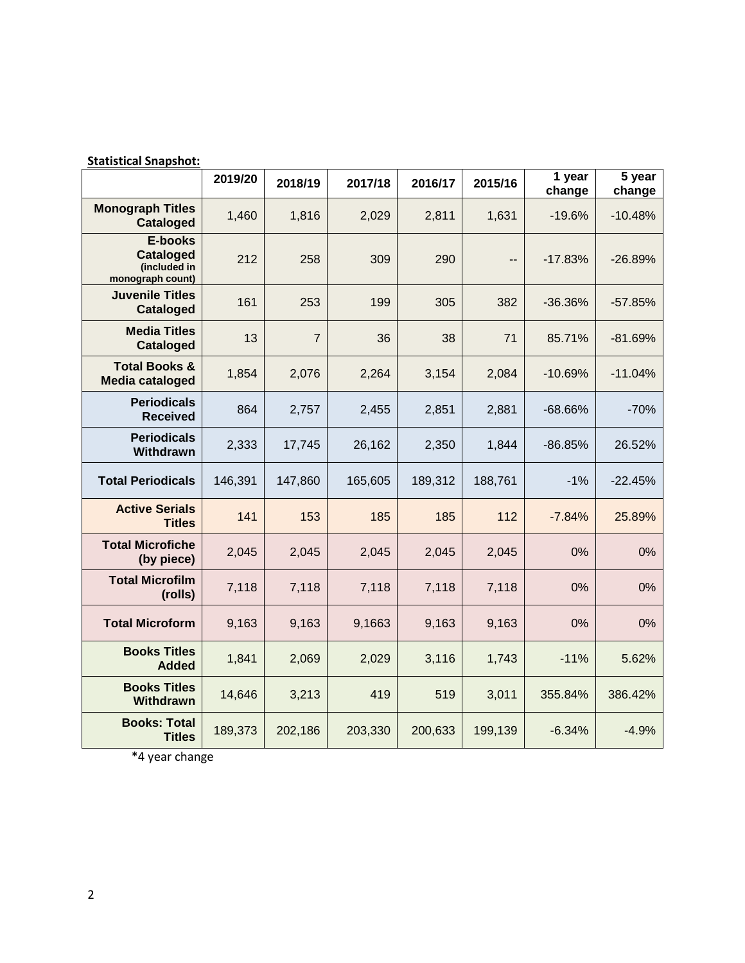| Statisticai Shapshot:                                                  |         |                |         |         |         |                  |                  |
|------------------------------------------------------------------------|---------|----------------|---------|---------|---------|------------------|------------------|
|                                                                        | 2019/20 | 2018/19        | 2017/18 | 2016/17 | 2015/16 | 1 year<br>change | 5 year<br>change |
| <b>Monograph Titles</b><br><b>Cataloged</b>                            | 1,460   | 1,816          | 2,029   | 2,811   | 1,631   | $-19.6%$         | $-10.48%$        |
| <b>E-books</b><br><b>Cataloged</b><br>(included in<br>monograph count) | 212     | 258            | 309     | 290     | --      | $-17.83%$        | $-26.89%$        |
| <b>Juvenile Titles</b><br><b>Cataloged</b>                             | 161     | 253            | 199     | 305     | 382     | $-36.36%$        | $-57.85%$        |
| <b>Media Titles</b><br><b>Cataloged</b>                                | 13      | $\overline{7}$ | 36      | 38      | 71      | 85.71%           | $-81.69%$        |
| <b>Total Books &amp;</b><br><b>Media cataloged</b>                     | 1,854   | 2,076          | 2,264   | 3,154   | 2,084   | $-10.69%$        | $-11.04%$        |
| <b>Periodicals</b><br><b>Received</b>                                  | 864     | 2,757          | 2,455   | 2,851   | 2,881   | $-68.66%$        | $-70%$           |
| <b>Periodicals</b><br>Withdrawn                                        | 2,333   | 17,745         | 26,162  | 2,350   | 1,844   | $-86.85%$        | 26.52%           |
| <b>Total Periodicals</b>                                               | 146,391 | 147,860        | 165,605 | 189,312 | 188,761 | $-1%$            | $-22.45%$        |
| <b>Active Serials</b><br><b>Titles</b>                                 | 141     | 153            | 185     | 185     | 112     | $-7.84%$         | 25.89%           |
| <b>Total Microfiche</b><br>(by piece)                                  | 2,045   | 2,045          | 2,045   | 2,045   | 2,045   | 0%               | 0%               |
| <b>Total Microfilm</b><br>(rolls)                                      | 7,118   | 7,118          | 7,118   | 7,118   | 7,118   | 0%               | 0%               |
| <b>Total Microform</b>                                                 | 9,163   | 9,163          | 9,1663  | 9,163   | 9,163   | 0%               | 0%               |
| <b>Books Titles</b><br><b>Added</b>                                    | 1,841   | 2,069          | 2,029   | 3,116   | 1,743   | $-11%$           | 5.62%            |
| <b>Books Titles</b><br><b>Withdrawn</b>                                | 14,646  | 3,213          | 419     | 519     | 3,011   | 355.84%          | 386.42%          |
| <b>Books: Total</b><br><b>Titles</b>                                   | 189,373 | 202,186        | 203,330 | 200,633 | 199,139 | $-6.34%$         | $-4.9%$          |

**Statistical Snapshot:**

\*4 year change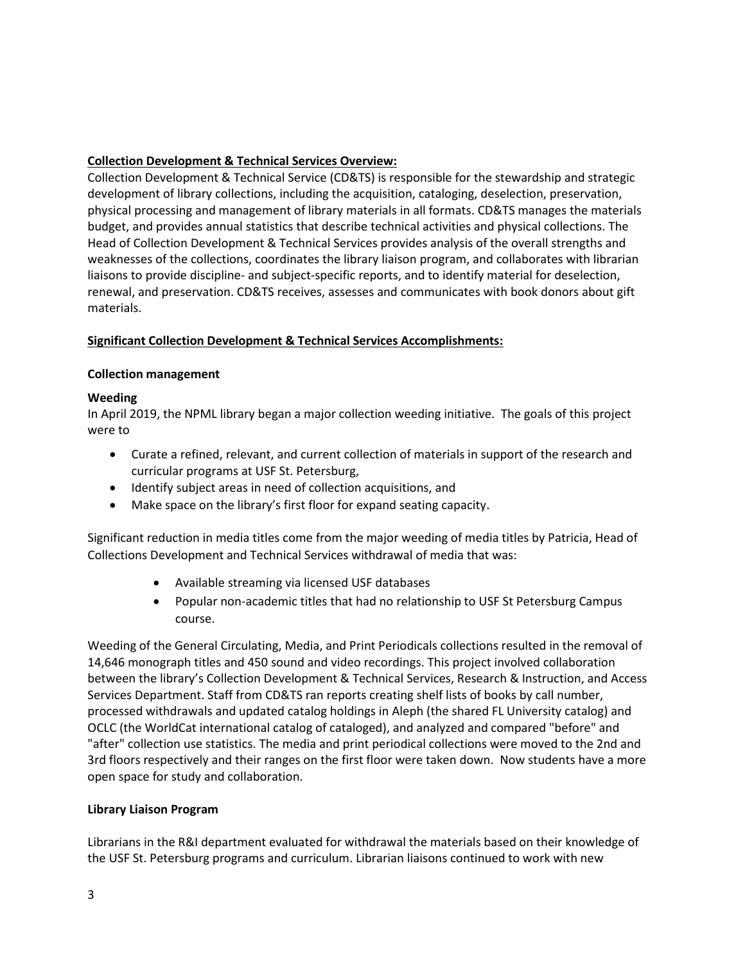# **Collection Development & Technical Services Overview:**

Collection Development & Technical Service (CD&TS) is responsible for the stewardship and strategic development of library collections, including the acquisition, cataloging, deselection, preservation, physical processing and management of library materials in all formats. CD&TS manages the materials budget, and provides annual statistics that describe technical activities and physical collections. The Head of Collection Development & Technical Services provides analysis of the overall strengths and weaknesses of the collections, coordinates the library liaison program, and collaborates with librarian liaisons to provide discipline- and subject-specific reports, and to identify material for deselection, renewal, and preservation. CD&TS receives, assesses and communicates with book donors about gift materials.

## **Significant Collection Development & Technical Services Accomplishments:**

## **Collection management**

## **Weeding**

In April 2019, the NPML library began a major collection weeding initiative. The goals of this project were to

- Curate a refined, relevant, and current collection of materials in support of the research and curricular programs at USF St. Petersburg,
- Identify subject areas in need of collection acquisitions, and
- Make space on the library's first floor for expand seating capacity.

Significant reduction in media titles come from the major weeding of media titles by Patricia, Head of Collections Development and Technical Services withdrawal of media that was:

- Available streaming via licensed USF databases
- Popular non-academic titles that had no relationship to USF St Petersburg Campus course.

Weeding of the General Circulating, Media, and Print Periodicals collections resulted in the removal of 14,646 monograph titles and 450 sound and video recordings. This project involved collaboration between the library's Collection Development & Technical Services, Research & Instruction, and Access Services Department. Staff from CD&TS ran reports creating shelf lists of books by call number, processed withdrawals and updated catalog holdings in Aleph (the shared FL University catalog) and OCLC (the WorldCat international catalog of cataloged), and analyzed and compared "before" and "after" collection use statistics. The media and print periodical collections were moved to the 2nd and 3rd floors respectively and their ranges on the first floor were taken down. Now students have a more open space for study and collaboration.

## **Library Liaison Program**

Librarians in the R&I department evaluated for withdrawal the materials based on their knowledge of the USF St. Petersburg programs and curriculum. Librarian liaisons continued to work with new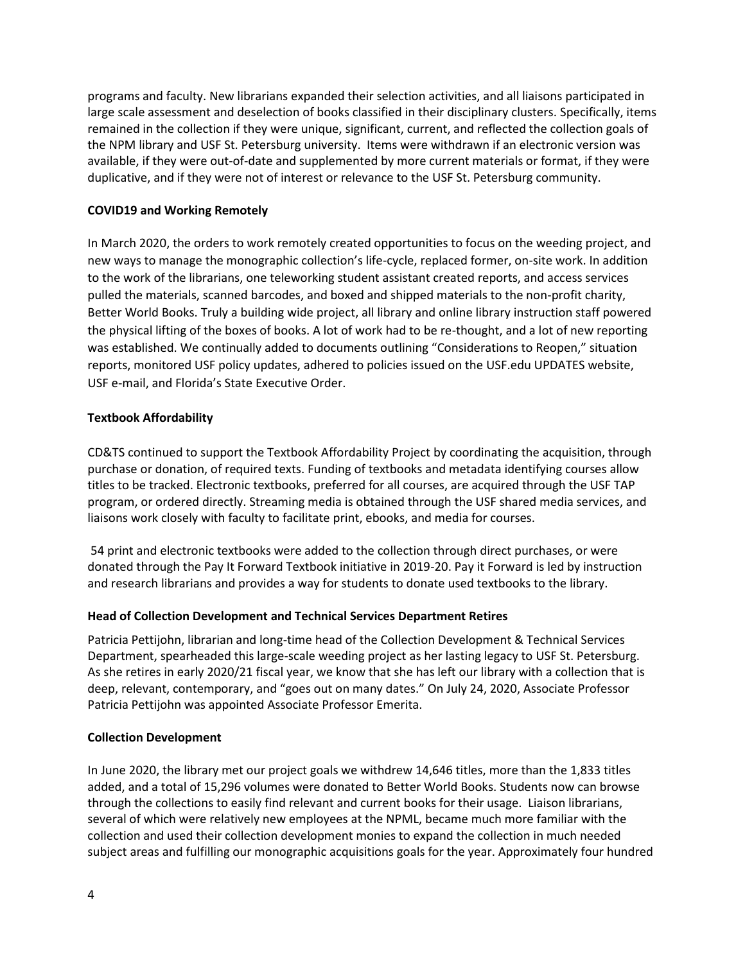programs and faculty. New librarians expanded their selection activities, and all liaisons participated in large scale assessment and deselection of books classified in their disciplinary clusters. Specifically, items remained in the collection if they were unique, significant, current, and reflected the collection goals of the NPM library and USF St. Petersburg university. Items were withdrawn if an electronic version was available, if they were out-of-date and supplemented by more current materials or format, if they were duplicative, and if they were not of interest or relevance to the USF St. Petersburg community.

## **COVID19 and Working Remotely**

In March 2020, the orders to work remotely created opportunities to focus on the weeding project, and new ways to manage the monographic collection's life-cycle, replaced former, on-site work. In addition to the work of the librarians, one teleworking student assistant created reports, and access services pulled the materials, scanned barcodes, and boxed and shipped materials to the non-profit charity, Better World Books. Truly a building wide project, all library and online library instruction staff powered the physical lifting of the boxes of books. A lot of work had to be re-thought, and a lot of new reporting was established. We continually added to documents outlining "Considerations to Reopen," situation reports, monitored USF policy updates, adhered to policies issued on the USF.edu UPDATES website, USF e-mail, and Florida's State Executive Order.

## **Textbook Affordability**

CD&TS continued to support the Textbook Affordability Project by coordinating the acquisition, through purchase or donation, of required texts. Funding of textbooks and metadata identifying courses allow titles to be tracked. Electronic textbooks, preferred for all courses, are acquired through the USF TAP program, or ordered directly. Streaming media is obtained through the USF shared media services, and liaisons work closely with faculty to facilitate print, ebooks, and media for courses.

54 print and electronic textbooks were added to the collection through direct purchases, or were donated through the Pay It Forward Textbook initiative in 2019-20. Pay it Forward is led by instruction and research librarians and provides a way for students to donate used textbooks to the library.

## **Head of Collection Development and Technical Services Department Retires**

Patricia Pettijohn, librarian and long-time head of the Collection Development & Technical Services Department, spearheaded this large-scale weeding project as her lasting legacy to USF St. Petersburg. As she retires in early 2020/21 fiscal year, we know that she has left our library with a collection that is deep, relevant, contemporary, and "goes out on many dates." On July 24, 2020, Associate Professor Patricia Pettijohn was appointed Associate Professor Emerita.

## **Collection Development**

In June 2020, the library met our project goals we withdrew 14,646 titles, more than the 1,833 titles added, and a total of 15,296 volumes were donated to Better World Books. Students now can browse through the collections to easily find relevant and current books for their usage. Liaison librarians, several of which were relatively new employees at the NPML, became much more familiar with the collection and used their collection development monies to expand the collection in much needed subject areas and fulfilling our monographic acquisitions goals for the year. Approximately four hundred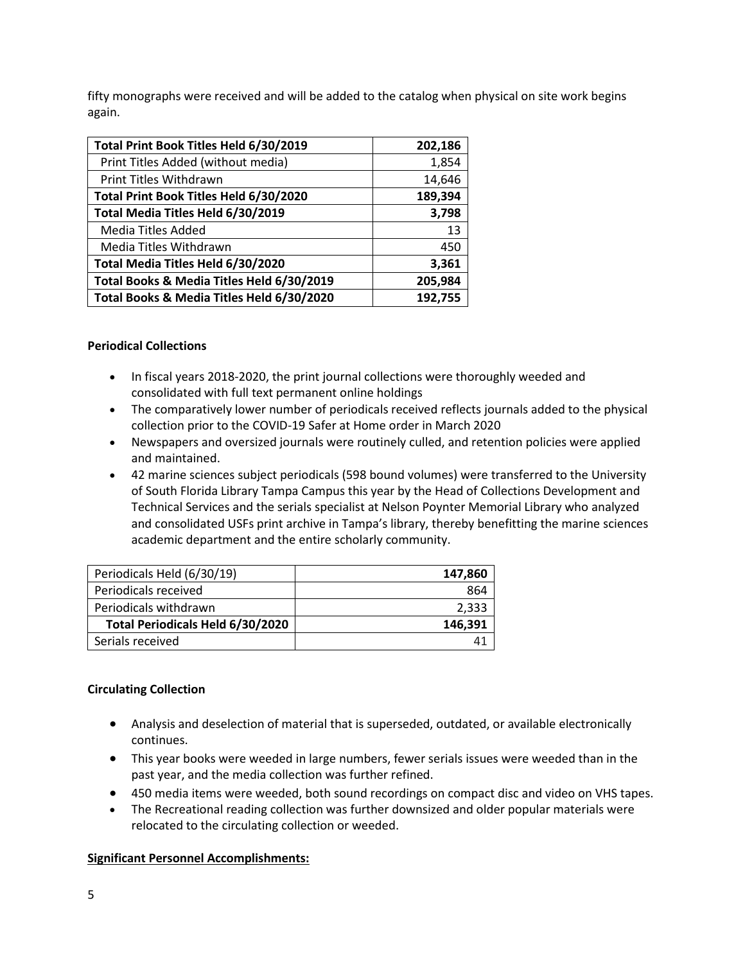fifty monographs were received and will be added to the catalog when physical on site work begins again.

| Total Print Book Titles Held 6/30/2019    | 202,186 |
|-------------------------------------------|---------|
| Print Titles Added (without media)        | 1,854   |
| Print Titles Withdrawn                    | 14,646  |
| Total Print Book Titles Held 6/30/2020    | 189,394 |
| Total Media Titles Held 6/30/2019         | 3,798   |
| Media Titles Added                        | 13      |
| Media Titles Withdrawn                    | 450     |
| Total Media Titles Held 6/30/2020         | 3,361   |
| Total Books & Media Titles Held 6/30/2019 | 205,984 |
| Total Books & Media Titles Held 6/30/2020 | 192,755 |

## **Periodical Collections**

- In fiscal years 2018-2020, the print journal collections were thoroughly weeded and consolidated with full text permanent online holdings
- The comparatively lower number of periodicals received reflects journals added to the physical collection prior to the COVID-19 Safer at Home order in March 2020
- Newspapers and oversized journals were routinely culled, and retention policies were applied and maintained.
- 42 marine sciences subject periodicals (598 bound volumes) were transferred to the University of South Florida Library Tampa Campus this year by the Head of Collections Development and Technical Services and the serials specialist at Nelson Poynter Memorial Library who analyzed and consolidated USFs print archive in Tampa's library, thereby benefitting the marine sciences academic department and the entire scholarly community.

| Periodicals Held (6/30/19)       | 147,860 |
|----------------------------------|---------|
| Periodicals received             | 864     |
| Periodicals withdrawn            | 2,333   |
| Total Periodicals Held 6/30/2020 | 146,391 |
| Serials received                 |         |

# **Circulating Collection**

- Analysis and deselection of material that is superseded, outdated, or available electronically continues.
- This year books were weeded in large numbers, fewer serials issues were weeded than in the past year, and the media collection was further refined.
- 450 media items were weeded, both sound recordings on compact disc and video on VHS tapes.
- The Recreational reading collection was further downsized and older popular materials were relocated to the circulating collection or weeded.

# **Significant Personnel Accomplishments:**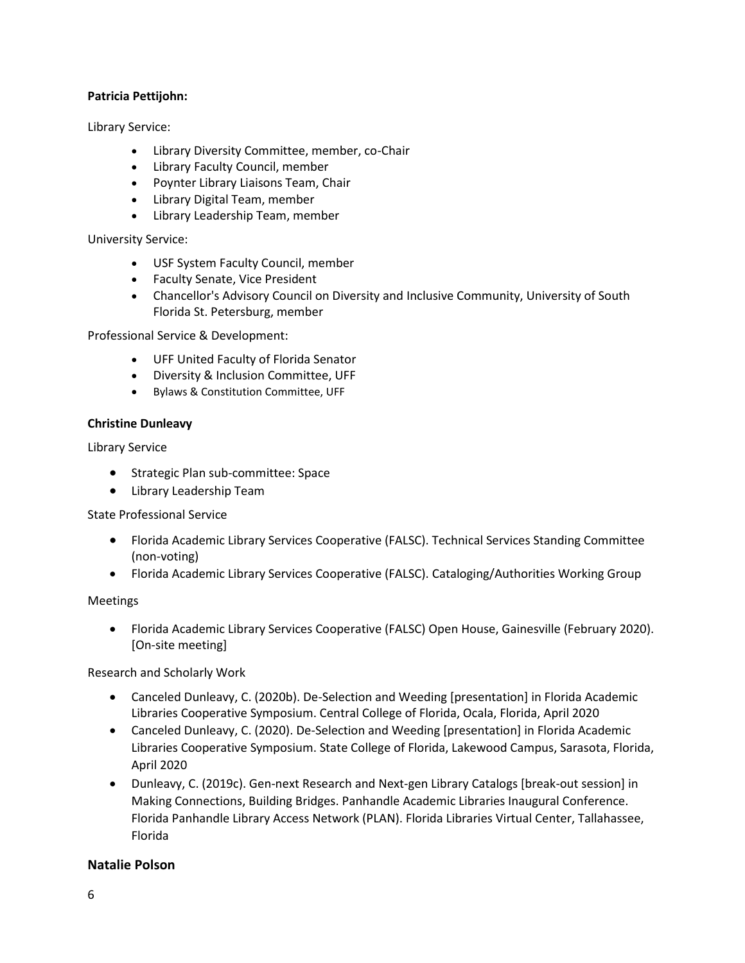## **Patricia Pettijohn:**

Library Service:

- Library Diversity Committee, member, co-Chair
- Library Faculty Council, member
- Poynter Library Liaisons Team, Chair
- Library Digital Team, member
- Library Leadership Team, member

University Service:

- USF System Faculty Council, member
- Faculty Senate, Vice President
- Chancellor's Advisory Council on Diversity and Inclusive Community, University of South Florida St. Petersburg, member

Professional Service & Development:

- UFF United Faculty of Florida Senator
- Diversity & Inclusion Committee, UFF
- Bylaws & Constitution Committee, UFF

## **Christine Dunleavy**

Library Service

- **•** Strategic Plan sub-committee: Space
- Library Leadership Team

State Professional Service

- Florida Academic Library Services Cooperative (FALSC). Technical Services Standing Committee (non-voting)
- Florida Academic Library Services Cooperative (FALSC). Cataloging/Authorities Working Group

## Meetings

 Florida Academic Library Services Cooperative (FALSC) Open House, Gainesville (February 2020). [On-site meeting]

Research and Scholarly Work

- Canceled Dunleavy, C. (2020b). De-Selection and Weeding [presentation] in Florida Academic Libraries Cooperative Symposium. Central College of Florida, Ocala, Florida, April 2020
- Canceled Dunleavy, C. (2020). De-Selection and Weeding [presentation] in Florida Academic Libraries Cooperative Symposium. State College of Florida, Lakewood Campus, Sarasota, Florida, April 2020
- Dunleavy, C. (2019c). Gen-next Research and Next-gen Library Catalogs [break-out session] in Making Connections, Building Bridges. Panhandle Academic Libraries Inaugural Conference. Florida Panhandle Library Access Network (PLAN). Florida Libraries Virtual Center, Tallahassee, Florida

# **Natalie Polson**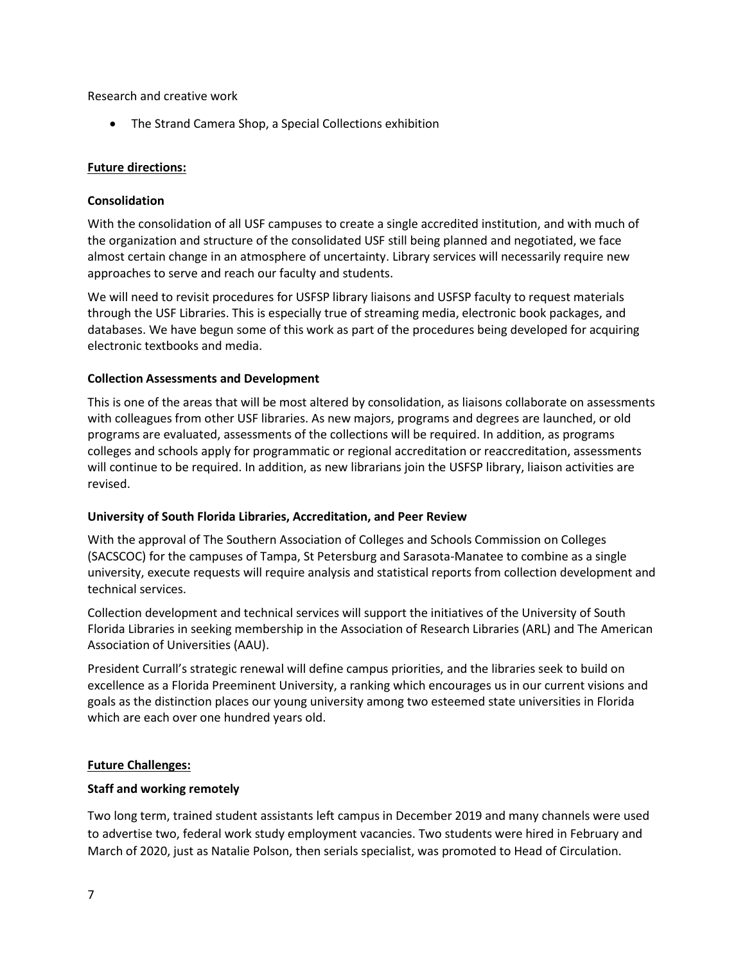Research and creative work

The Strand Camera Shop, a Special Collections exhibition

## **Future directions:**

## **Consolidation**

With the consolidation of all USF campuses to create a single accredited institution, and with much of the organization and structure of the consolidated USF still being planned and negotiated, we face almost certain change in an atmosphere of uncertainty. Library services will necessarily require new approaches to serve and reach our faculty and students.

We will need to revisit procedures for USFSP library liaisons and USFSP faculty to request materials through the USF Libraries. This is especially true of streaming media, electronic book packages, and databases. We have begun some of this work as part of the procedures being developed for acquiring electronic textbooks and media.

#### **Collection Assessments and Development**

This is one of the areas that will be most altered by consolidation, as liaisons collaborate on assessments with colleagues from other USF libraries. As new majors, programs and degrees are launched, or old programs are evaluated, assessments of the collections will be required. In addition, as programs colleges and schools apply for programmatic or regional accreditation or reaccreditation, assessments will continue to be required. In addition, as new librarians join the USFSP library, liaison activities are revised.

## **University of South Florida Libraries, Accreditation, and Peer Review**

With the approval of The Southern Association of Colleges and Schools Commission on Colleges (SACSCOC) for the campuses of Tampa, St Petersburg and Sarasota-Manatee to combine as a single university, execute requests will require analysis and statistical reports from collection development and technical services.

Collection development and technical services will support the initiatives of the University of South Florida Libraries in seeking membership in the Association of Research Libraries (ARL) and The American Association of Universities (AAU).

President Currall's strategic renewal will define campus priorities, and the libraries seek to build on excellence as a Florida Preeminent University, a ranking which encourages us in our current visions and goals as the distinction places our young university among two esteemed state universities in Florida which are each over one hundred years old.

## **Future Challenges:**

## **Staff and working remotely**

Two long term, trained student assistants left campus in December 2019 and many channels were used to advertise two, federal work study employment vacancies. Two students were hired in February and March of 2020, just as Natalie Polson, then serials specialist, was promoted to Head of Circulation.